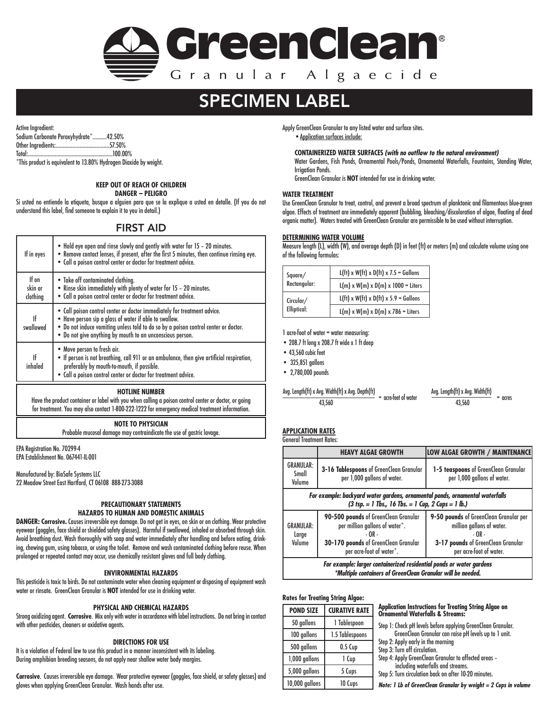

# SPECIMEN LABEL

Active Ingredient: Sodium Carbonate Peroxyhydrate\*..........42.50% Other Ingredients:......................................57.50% Total:............................................................100.00% \*This product is equivalent to 13.80% Hydrogen Dioxide by weight.

# **KEEP OUT OF REACH OF CHILDREN**

**DANGER – PELIGRO**

Si usted no entiende la etiqueta, busque a alguien para que se la explique a usted en detalle. (If you do not understand this label, find someone to explain it to you in detail.)

# FIRST AID

| If in eyes                                                                                                                                                                                                                                                | • Hold eye open and rinse slowly and gently with water for 15 - 20 minutes.<br>. Remove contact lenses, if present, after the first 5 minutes, then continue rinsing eye.<br>. Call a poison control center or doctor for treatment advice.                                            |  |
|-----------------------------------------------------------------------------------------------------------------------------------------------------------------------------------------------------------------------------------------------------------|----------------------------------------------------------------------------------------------------------------------------------------------------------------------------------------------------------------------------------------------------------------------------------------|--|
| If on<br>skin or<br>clothing                                                                                                                                                                                                                              | • Take off contaminated clothing.<br>• Rinse skin immediately with plenty of water for 15 - 20 minutes.<br>. Call a poison control center or doctor for treatment advice.                                                                                                              |  |
| ۱f<br>swallowed                                                                                                                                                                                                                                           | • Call poison control center or doctor immediately for treatment advice.<br>. Have person sip a glass of water if able to swallow.<br>. Do not induce vomiting unless told to do so by a poison control center or doctor.<br>. Do not give anything by mouth to an unconscious person. |  |
| • Move person to fresh air.<br>. If person is not breathing, call 911 or an ambulance, then give artificial respiration,<br>If<br>preferably by mouth-to-mouth, if possible.<br>inhaled<br>• Call a poison control center or doctor for treatment advice. |                                                                                                                                                                                                                                                                                        |  |

# **HOTLINE NUMBER**

Have the product container or label with you when calling a poison control center or doctor, or going for treatment. You may also contact 1-800-222-1222 for emergency medical treatment information.

# **NOTE TO PHYSICIAN**

Probable mucosal damage may contraindicate the use of gastric lavage.

EPA Registration No. 70299-4 EPA Establishment No. 067441-IL-001

Manufactured by: BioSafe Systems LLC 22 Meadow Street East Hartford, CT 06108 888-273-3088

# **PRECAUTIONARY STATEMENTS HAZARDS TO HUMAN AND DOMESTIC ANIMALS**

**DANGER: Corrosive.** Causes irreversible eye damage. Do not get in eyes, on skin or on clothing. Wear protective eyewear (goggles, face shield or shielded safety glasses). Harmful if swallowed, inhaled or absorbed through skin. Avoid breathing dust. Wash thoroughly with soap and water immediately after handling and before eating, drinking, chewing gum, using tobacco, or using the toilet. Remove and wash contaminated clothing before reuse. When prolonged or repeated contact may occur, use chemically resistant gloves and full body clothing.

# **ENVIRONMENTAL HAZARDS**

This pesticide is toxic to birds. Do not contaminate water when cleaning equipment or disposing of equipment wash water or rinsate. GreenClean Granular is **NOT** intended for use in drinking water.

# **PHYSICAL AND CHEMICAL HAZARDS**

Strong oxidizing agent. **Corrosive**. Mix only with water in accordance with label instructions. Do not bring in contact with other pesticides, cleaners or oxidative agents.

# **DIRECTIONS FOR USE**

It is a violation of Federal law to use this product in a manner inconsistent with its labeling. During amphibian breeding seasons, do not apply near shallow water body margins.

**Corrosive**. Causes irreversible eye damage. Wear protective eyewear (goggles, face shield, or safety glasses) and gloves when applying GreenClean Granular. Wash hands after use.

Apply GreenClean Granular to any listed water and surface sites. •Application surfaces include:

# **CONTAINERIZED WATER SURFACES** *(with no outflow to the natural environment)*

Water Gardens, Fish Ponds, Ornamental Pools/Ponds, Ornamental Waterfalls, Fountains, Standing Water, Irrigation Ponds.

GreenClean Granular is **NOT** intended for use in drinking water.

# **WATER TREATMENT**

Use GreenClean Granular to treat, control, and prevent a broad spectrum of planktonic and filamentous blue-green algae. Effects of treatment are immediately apparent (bubbling, bleaching/discoloration of algae, floating of dead organic matter). Waters treated with GreenClean Granular are permissible to be used without interruption.

# **DETERMINING WATER VOLUME**

Measure length (L), width (W), and average depth (D) in feet (ft) or meters (m) and calculate volume using one of the following formulas:

| Square/      | $L(ft) \times W(ft) \times D(ft) \times 7.5$ = Gallons |
|--------------|--------------------------------------------------------|
| Rectangular: | $L(m)$ x W(m) x D(m) x 1000 = Liters                   |
| Circular/    | $L(ft)$ x W(ft) x D(ft) x 5.9 = Gallons                |
| Elliptical:  | $L(m)$ x W(m) x D(m) x 786 = Liters                    |

1 acre-foot of water = water measuring:

- 208.7 ft long x 208.7 ft wide x 1 ft deep
- 43,560 cubic feet
- 325.851 gallons
- 2,780,000 pounds

# $\frac{\text{Avg. Length}(\text{ft}) \times \text{Avg. Width}(\text{ft}) \times \text{Avg. Depth}(\text{ft})}{\text{avg. length}(\text{ft}) \times \text{Avg. Width}(\text{ft})}$

 $\frac{43,560}{43,560}$  = acre-feet of water  $\frac{43,560}{43,560}$  = acres

#### **APPLICATION RATES** General Treatment Rates:

|                                                                                                                                                                                         | <b>HEAVY ALGAE GROWTH</b>                                                                                                                             | <b>LOW ALGAE GROWTH / MAINTENANCE</b>                                                                                                          |  |  |  |
|-----------------------------------------------------------------------------------------------------------------------------------------------------------------------------------------|-------------------------------------------------------------------------------------------------------------------------------------------------------|------------------------------------------------------------------------------------------------------------------------------------------------|--|--|--|
| <b>GRANULAR:</b><br>Small<br>Volume                                                                                                                                                     | 3-16 Tablespoons of GreenClean Granular<br>per 1,000 gallons of water.                                                                                | 1-5 teaspoons of GreenClean Granular<br>per 1,000 gallons of water.                                                                            |  |  |  |
| For example: backyard water gardens, ornamental ponds, ornamental waterfalls<br>$(3 \text{ tsp.} = 1 \text{ Tbs.} \ 16 \text{ Tbs.} = 1 \text{ Cup.} \ 2 \text{ cups} = 1 \text{ lb.})$ |                                                                                                                                                       |                                                                                                                                                |  |  |  |
| <b>GRANULAR:</b><br>Large<br>Volume                                                                                                                                                     | 90-500 pounds of GreenClean Granular<br>per million gallons of water*.<br>$-0R -$<br>30-170 pounds of GreenClean Granular<br>per acre-foot of water*. | 9-50 pounds of GreenClean Granular per<br>million gallons of water.<br>- OR -<br>3-17 pounds of GreenClean Granular<br>per acre-foot of water. |  |  |  |
| For example: larger containerized residential ponds or water gardens<br>*Multiple containers of GreenClean Granular will be needed.                                                     |                                                                                                                                                       |                                                                                                                                                |  |  |  |

# **Rates for Treating String Algae:**

| <b>POND SIZE</b> | <b>CURATIVE RATE</b> |  |  |  |  |
|------------------|----------------------|--|--|--|--|
| 50 gallons       | 1 Tablespoon         |  |  |  |  |
| 100 gallons      | 1.5 Tablespoons      |  |  |  |  |
| 500 gallons      | $0.5$ Cup            |  |  |  |  |
| 1,000 gallons    | 1 Cup                |  |  |  |  |
| 5,000 gallons    | 5 Cups               |  |  |  |  |
| 10,000 gallons   | 10 Cups              |  |  |  |  |

**Application Instructions for Treating String Algae on Ornamental Waterfalls & Streams:**

Step 1: Check pH levels before applying GreenClean Granular. GreenClean Granular can raise pH levels up to 1 unit.

Step 2: Apply early in the morning

Step 3: Turn off circulation.

Step 4: Apply GreenClean Granular to affected areas –

 including waterfalls and streams. Step 5: Turn circulation back on after 10-20 minutes.

*Note: 1 Lb of GreenClean Granular by weight = 2 Cups in volume*